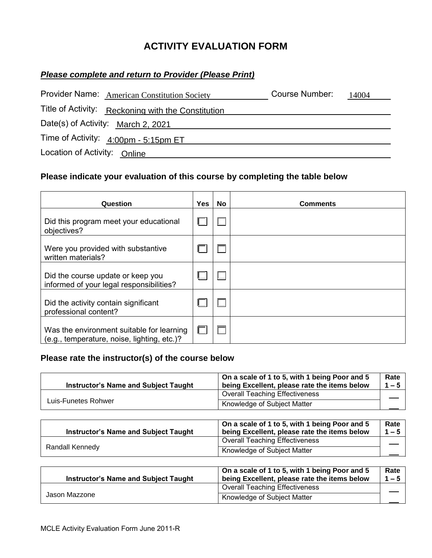## **ACTIVITY EVALUATION FORM**

## *Please complete and return to Provider (Please Print)*

|                              | Provider Name: American Constitution Society           | Course Number: | 14004 |
|------------------------------|--------------------------------------------------------|----------------|-------|
|                              | Title of Activity: Reckoning with the Constitution     |                |       |
|                              | Date(s) of Activity: March 2, 2021                     |                |       |
|                              | Time of Activity: $4:00 \text{pm} - 5:15 \text{pm ET}$ |                |       |
| Location of Activity: Online |                                                        |                |       |

## **Please indicate your evaluation of this course by completing the table below**

| Question                                                                                 | <b>Yes</b> | <b>No</b> | <b>Comments</b> |
|------------------------------------------------------------------------------------------|------------|-----------|-----------------|
| Did this program meet your educational<br>objectives?                                    |            |           |                 |
| Were you provided with substantive<br>written materials?                                 |            |           |                 |
| Did the course update or keep you<br>informed of your legal responsibilities?            |            |           |                 |
| Did the activity contain significant<br>professional content?                            |            |           |                 |
| Was the environment suitable for learning<br>(e.g., temperature, noise, lighting, etc.)? |            |           |                 |

## **Please rate the instructor(s) of the course below**

| <b>Instructor's Name and Subject Taught</b> | On a scale of 1 to 5, with 1 being Poor and 5<br>being Excellent, please rate the items below | Rate<br>$1 - 5$ |
|---------------------------------------------|-----------------------------------------------------------------------------------------------|-----------------|
|                                             | <b>Overall Teaching Effectiveness</b>                                                         |                 |
| Luis-Funetes Rohwer                         | Knowledge of Subject Matter                                                                   |                 |

|                        | <b>Instructor's Name and Subject Taught</b> | On a scale of 1 to 5, with 1 being Poor and 5<br>being Excellent, please rate the items below | Rate<br>$1 - 5$ |
|------------------------|---------------------------------------------|-----------------------------------------------------------------------------------------------|-----------------|
|                        |                                             | <b>Overall Teaching Effectiveness</b>                                                         |                 |
| <b>Randall Kennedy</b> | Knowledge of Subject Matter                 |                                                                                               |                 |

| <b>Instructor's Name and Subject Taught</b> | On a scale of 1 to 5, with 1 being Poor and 5<br>being Excellent, please rate the items below | Rate<br>$1 - 5$ |
|---------------------------------------------|-----------------------------------------------------------------------------------------------|-----------------|
| Jason Mazzone                               | <b>Overall Teaching Effectiveness</b>                                                         |                 |
|                                             | Knowledge of Subject Matter                                                                   |                 |